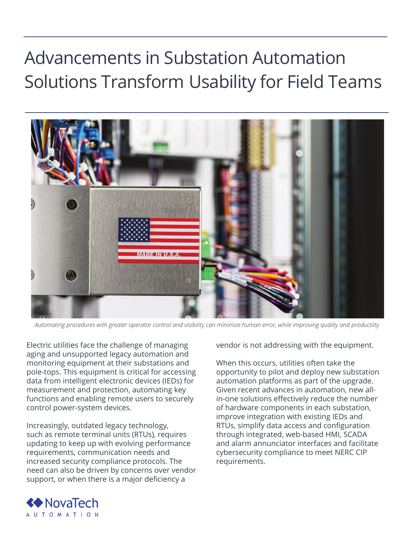## Advancements in Substation Automation Solutions Transform Usability for Field Teams



*Automating procedures with greater operator control and visibility can minimize human error, while improving quality and productiity*

Electric utilities face the challenge of managing aging and unsupported legacy automation and monitoring equipment at their substations and pole-tops. This equipment is critical for accessing data from intelligent electronic devices (IEDs) for measurement and protection, automating key functions and enabling remote users to securely control power-system devices.

Increasingly, outdated legacy technology, such as remote terminal units (RTUs), requires updating to keep up with evolving performance requirements, communication needs and increased security compliance protocols. The need can also be driven by concerns over vendor support, or when there is a major deficiency a

vendor is not addressing with the equipment.

When this occurs, utilities often take the opportunity to pilot and deploy new substation automation platforms as part of the upgrade. Given recent advances in automation, new allin-one solutions effectively reduce the number of hardware components in each substation, improve integration with existing IEDs and RTUs, simplify data access and configuration through integrated, web-based HMI, SCADA and alarm annunciator interfaces and facilitate cybersecurity compliance to meet NERC CIP requirements.

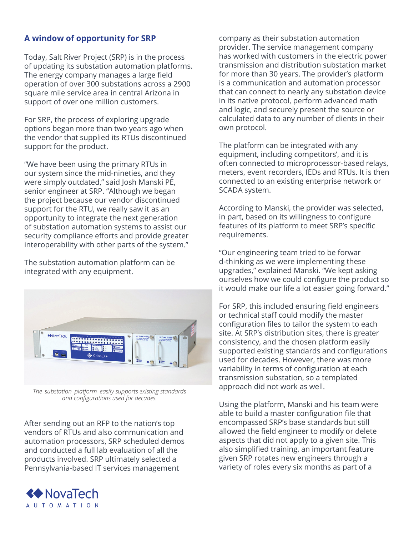## **A window of opportunity for SRP**

Today, Salt River Project (SRP) is in the process of updating its substation automation platforms. The energy company manages a large field operation of over 300 substations across a 2900 square mile service area in central Arizona in support of over one million customers.

For SRP, the process of exploring upgrade options began more than two years ago when the vendor that supplied its RTUs discontinued support for the product.

"We have been using the primary RTUs in our system since the mid-nineties, and they were simply outdated," said Josh Manski PE, senior engineer at SRP. "Although we began the project because our vendor discontinued support for the RTU, we really saw it as an opportunity to integrate the next generation of substation automation systems to assist our security compliance efforts and provide greater interoperability with other parts of the system."

The substation automation platform can be integrated with any equipment.



*The  substation  platform  easily supports existing standards and configurations used for decades.*

After sending out an RFP to the nation's top vendors of RTUs and also communication and automation processors, SRP scheduled demos and conducted a full lab evaluation of all the products involved. SRP ultimately selected a Pennsylvania-based IT services management



company as their substation automation provider. The service management company has worked with customers in the electric power transmission and distribution substation market for more than 30 years. The provider's platform is a communication and automation processor that can connect to nearly any substation device in its native protocol, perform advanced math and logic, and securely present the source or calculated data to any number of clients in their own protocol.

The platform can be integrated with any equipment, including competitors', and it is often connected to microprocessor-based relays, meters, event recorders, IEDs and RTUs. It is then connected to an existing enterprise network or SCADA system.

According to Manski, the provider was selected, in part, based on its willingness to configure features of its platform to meet SRP's specific requirements.

"Our engineering team tried to be forwar d-thinking as we were implementing these upgrades," explained Manski. "We kept asking ourselves how we could configure the product so it would make our life a lot easier going forward."

For SRP, this included ensuring field engineers or technical staff could modify the master configuration files to tailor the system to each site. At SRP's distribution sites, there is greater consistency, and the chosen platform easily supported existing standards and configurations used for decades. However, there was more variability in terms of configuration at each transmission substation, so a templated approach did not work as well.

Using the platform, Manski and his team were able to build a master configuration file that encompassed SRP's base standards but still allowed the field engineer to modify or delete aspects that did not apply to a given site. This also simplified training, an important feature given SRP rotates new engineers through a variety of roles every six months as part of a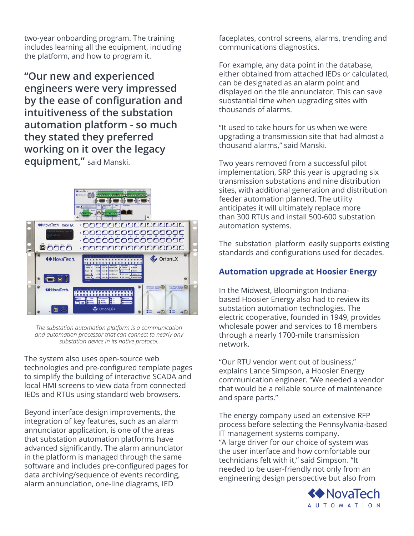two-year onboarding program. The training includes learning all the equipment, including the platform, and how to program it.

**"Our new and experienced engineers were very impressed by the ease of configuration and intuitiveness of the substation automation platform - so much they stated they preferred working on it over the legacy equipment,"** said Manski.



*The substation automation platform is a communication and automation processor that can connect to nearly any substation device in its native protocol.*

The system also uses open-source web technologies and pre-configured template pages to simplify the building of interactive SCADA and local HMI screens to view data from connected IEDs and RTUs using standard web browsers.

Beyond interface design improvements, the integration of key features, such as an alarm annunciator application, is one of the areas that substation automation platforms have advanced significantly. The alarm annunciator in the platform is managed through the same software and includes pre-configured pages for data archiving/sequence of events recording, alarm annunciation, one-line diagrams, IED

faceplates, control screens, alarms, trending and communications diagnostics.

For example, any data point in the database, either obtained from attached IEDs or calculated, can be designated as an alarm point and displayed on the tile annunciator. This can save substantial time when upgrading sites with thousands of alarms.

"It used to take hours for us when we were upgrading a transmission site that had almost a thousand alarms," said Manski.

Two years removed from a successful pilot implementation, SRP this year is upgrading six transmission substations and nine distribution sites, with additional generation and distribution feeder automation planned. The utility anticipates it will ultimately replace more than 300 RTUs and install 500-600 substation automation systems.

The  substation  platform  easily supports existing standards and configurations used for decades.

## **Automation upgrade at Hoosier Energy**

In the Midwest, Bloomington Indianabased Hoosier Energy also had to review its substation automation technologies. The electric cooperative, founded in 1949, provides wholesale power and services to 18 members through a nearly 1700-mile transmission network.

"Our RTU vendor went out of business," explains Lance Simpson, a Hoosier Energy communication engineer. "We needed a vendor that would be a reliable source of maintenance and spare parts."

The energy company used an extensive RFP process before selecting the Pennsylvania-based IT management systems company. "A large driver for our choice of system was the user interface and how comfortable our technicians felt with it," said Simpson. "It needed to be user-friendly not only from an engineering design perspective but also from